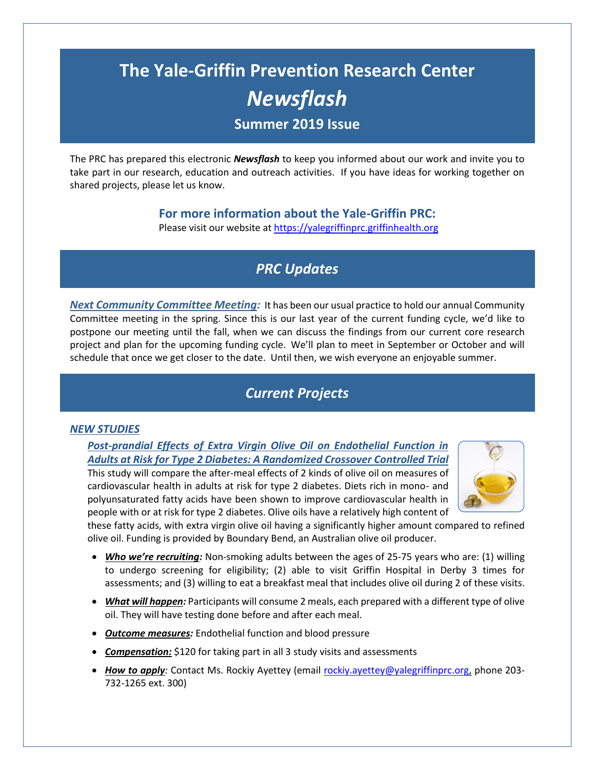# **The Yale-Griffin Prevention Research Center** *Newsflash* **Summer 2019 Issue**

The PRC has prepared this electronic *Newsflash* to keep you informed about our work and invite you to take part in our research, education and outreach activities. If you have ideas for working together on shared projects, please let us know.

### **For more information about the Yale-Griffin PRC:**

Please visit our website at https://yalegriffinprc.griffinhealth.org

# *PRC Updates*

*Next Community Committee Meeting:* It has been our usual practice to hold our annual Community Committee meeting in the spring. Since this is our last year of the current funding cycle, we'd like to postpone our meeting until the fall, when we can discuss the findings from our current core research project and plan for the upcoming funding cycle. We'll plan to meet in September or October and will schedule that once we get closer to the date. Until then, we wish everyone an enjoyable summer.

# *Current Projects*

#### *NEW STUDIES*

*Post-prandial Effects of Extra Virgin Olive Oil on Endothelial Function in Adults at Risk for Type 2 Diabetes: A Randomized Crossover Controlled Trial* This study will compare the after-meal effects of 2 kinds of olive oil on measures of cardiovascular health in adults at risk for type 2 diabetes. Diets rich in mono- and polyunsaturated fatty acids have been shown to improve cardiovascular health in people with or at risk for type 2 diabetes. Olive oils have a relatively high content of



these fatty acids, with extra virgin olive oil having a significantly higher amount compared to refined olive oil. Funding is provided by Boundary Bend, an Australian olive oil producer.

- Who we're recruiting: Non-smoking adults between the ages of 25-75 years who are: (1) willing to undergo screening for eligibility; (2) able to visit Griffin Hospital in Derby 3 times for assessments; and (3) willing to eat a breakfast meal that includes olive oil during 2 of these visits.
- *What will happen:* Participants will consume 2 meals, each prepared with a different type of olive oil. They will have testing done before and after each meal.
- *Outcome measures:* Endothelial function and blood pressure
- *Compensation:* \$120 for taking part in all 3 study visits and assessments
- *How to apply:* Contact Ms. Rockiy Ayettey (email [rockiy.ayettey@yalegriffinprc.org,](mailto:rockiy.ayettey@yalegriffinprc.org) phone 203- 732-1265 ext. 300)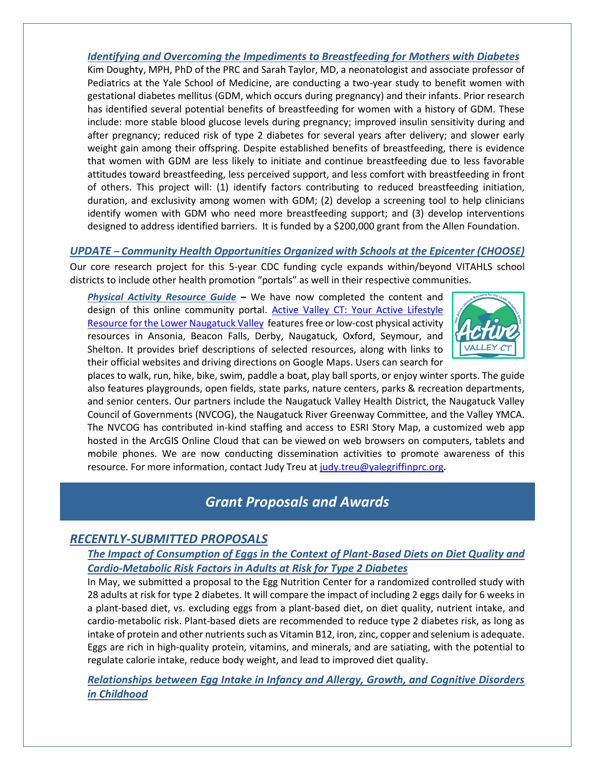#### *Identifying and Overcoming the Impediments to Breastfeeding for Mothers with Diabetes*

Kim Doughty, MPH, PhD of the PRC and Sarah Taylor, MD, a neonatologist and associate professor of Pediatrics at the Yale School of Medicine, are conducting a two-year study to benefit women with gestational diabetes mellitus (GDM, which occurs during pregnancy) and their infants. Prior research has identified several potential benefits of breastfeeding for women with a history of GDM. These include: more stable blood glucose levels during pregnancy; improved insulin sensitivity during and after pregnancy; reduced risk of type 2 diabetes for several years after delivery; and slower early weight gain among their offspring. Despite established benefits of breastfeeding, there is evidence that women with GDM are less likely to initiate and continue breastfeeding due to less favorable attitudes toward breastfeeding, less perceived support, and less comfort with breastfeeding in front of others. This project will: (1) identify factors contributing to reduced breastfeeding initiation, duration, and exclusivity among women with GDM; (2) develop a screening tool to help clinicians identify women with GDM who need more breastfeeding support; and (3) develop interventions designed to address identified barriers. It is funded by a \$200,000 grant from the Allen Foundation.

#### *UPDATE – Community Health Opportunities Organized with Schools at the Epicenter (CHOOSE)*

Our core research project for this 5-year CDC funding cycle expands within/beyond VITAHLS school districts to include other health promotion "portals" as well in their respective communities.

*Physical Activity Resource Guide* **–** We have now completed the content and design of this online community portal. Active Valley CT: Your Active Lifestyle [Resource for the Lower Naugatuck Valley](http://avct.griffinhealth.org/) features free or low-cost physical activity resources in Ansonia, Beacon Falls, Derby, Naugatuck, Oxford, Seymour, and Shelton. It provides brief descriptions of selected resources, along with links to their official websites and driving directions on Google Maps. Users can search for



places to walk, run, hike, bike, swim, paddle a boat, play ball sports, or enjoy winter sports. The guide also features playgrounds, open fields, state parks, nature centers, parks & recreation departments, and senior centers. Our partners include the Naugatuck Valley Health District, the Naugatuck Valley Council of Governments (NVCOG), the Naugatuck River Greenway Committee, and the Valley YMCA. The NVCOG has contributed in-kind staffing and access to ESRI Story Map, a customized web app hosted in the ArcGIS Online Cloud that can be viewed on web browsers on computers, tablets and mobile phones. We are now conducting dissemination activities to promote awareness of this resource. For more information, contact Judy Treu at [judy.treu@yalegriffinprc.org.](mailto:judy.treu@yalegriffinprc.org)

### *Grant Proposals and Awards*

### *RECENTLY-SUBMITTED PROPOSALS*

### *The Impact of Consumption of Eggs in the Context of Plant-Based Diets on Diet Quality and Cardio-Metabolic Risk Factors in Adults at Risk for Type 2 Diabetes*

In May, we submitted a proposal to the Egg Nutrition Center for a randomized controlled study with 28 adults at risk for type 2 diabetes. It will compare the impact of including 2 eggs daily for 6 weeks in a plant-based diet, vs. excluding eggs from a plant-based diet, on diet quality, nutrient intake, and cardio-metabolic risk. Plant-based diets are recommended to reduce type 2 diabetes risk, as long as intake of protein and other nutrients such as Vitamin B12, iron, zinc, copper and selenium is adequate. Eggs are rich in high-quality protein, vitamins, and minerals, and are satiating, with the potential to regulate calorie intake, reduce body weight, and lead to improved diet quality.

*Relationships between Egg Intake in Infancy and Allergy, Growth, and Cognitive Disorders in Childhood*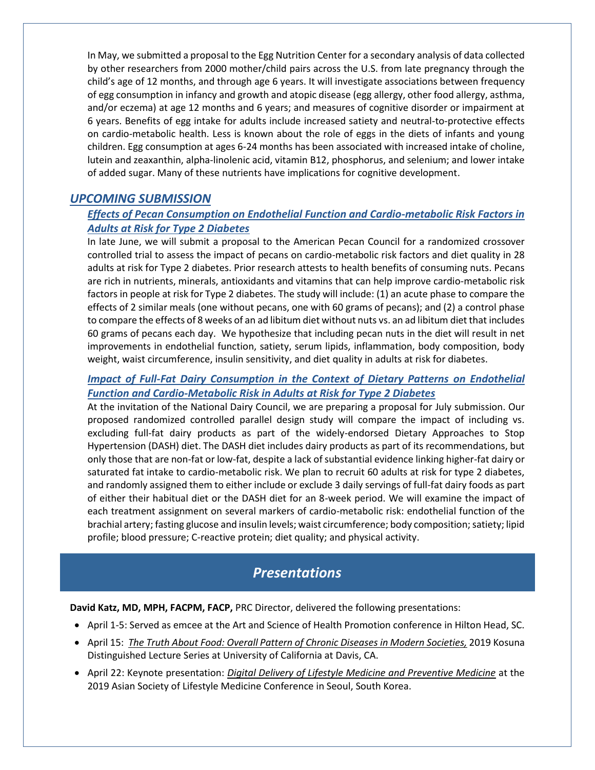In May, we submitted a proposal to the Egg Nutrition Center for a secondary analysis of data collected by other researchers from 2000 mother/child pairs across the U.S. from late pregnancy through the child's age of 12 months, and through age 6 years. It will investigate associations between frequency of egg consumption in infancy and growth and atopic disease (egg allergy, other food allergy, asthma, and/or eczema) at age 12 months and 6 years; and measures of cognitive disorder or impairment at 6 years. Benefits of egg intake for adults include increased satiety and neutral-to-protective effects on cardio-metabolic health. Less is known about the role of eggs in the diets of infants and young children. Egg consumption at ages 6-24 months has been associated with increased intake of choline, lutein and zeaxanthin, alpha-linolenic acid, vitamin B12, phosphorus, and selenium; and lower intake of added sugar. Many of these nutrients have implications for cognitive development.

### *UPCOMING SUBMISSION*

### *Effects of Pecan Consumption on Endothelial Function and Cardio-metabolic Risk Factors in Adults at Risk for Type 2 Diabetes*

In late June, we will submit a proposal to the American Pecan Council for a randomized crossover controlled trial to assess the impact of pecans on cardio-metabolic risk factors and diet quality in 28 adults at risk for Type 2 diabetes. Prior research attests to health benefits of consuming nuts. Pecans are rich in nutrients, minerals, antioxidants and vitamins that can help improve cardio-metabolic risk factors in people at risk for Type 2 diabetes. The study will include: (1) an acute phase to compare the effects of 2 similar meals (one without pecans, one with 60 grams of pecans); and (2) a control phase to compare the effects of 8 weeks of an ad libitum diet without nuts vs. an ad libitum diet that includes 60 grams of pecans each day. We hypothesize that including pecan nuts in the diet will result in net improvements in endothelial function, satiety, serum lipids, inflammation, body composition, body weight, waist circumference, insulin sensitivity, and diet quality in adults at risk for diabetes.

#### *Impact of Full-Fat Dairy Consumption in the Context of Dietary Patterns on Endothelial Function and Cardio-Metabolic Risk in Adults at Risk for Type 2 Diabetes*

At the invitation of the National Dairy Council, we are preparing a proposal for July submission. Our proposed randomized controlled parallel design study will compare the impact of including vs. excluding full-fat dairy products as part of the widely-endorsed Dietary Approaches to Stop Hypertension (DASH) diet. The DASH diet includes dairy products as part of its recommendations, but only those that are non-fat or low-fat, despite a lack of substantial evidence linking higher-fat dairy or saturated fat intake to cardio-metabolic risk. We plan to recruit 60 adults at risk for type 2 diabetes, and randomly assigned them to either include or exclude 3 daily servings of full-fat dairy foods as part of either their habitual diet or the DASH diet for an 8-week period. We will examine the impact of each treatment assignment on several markers of cardio-metabolic risk: endothelial function of the brachial artery; fasting glucose and insulin levels; waist circumference; body composition; satiety; lipid profile; blood pressure; C-reactive protein; diet quality; and physical activity.

## *Presentations*

**David Katz, MD, MPH, FACPM, FACP,** PRC Director, delivered the following presentations:

- April 1-5: Served as emcee at the Art and Science of Health Promotion conference in Hilton Head, SC.
- April 15: *The Truth About Food: Overall Pattern of Chronic Diseases in Modern Societies,* 2019 Kosuna Distinguished Lecture Series at University of California at Davis, CA.
- April 22: Keynote presentation: *Digital Delivery of Lifestyle Medicine and Preventive Medicine* at the 2019 Asian Society of Lifestyle Medicine Conference in Seoul, South Korea.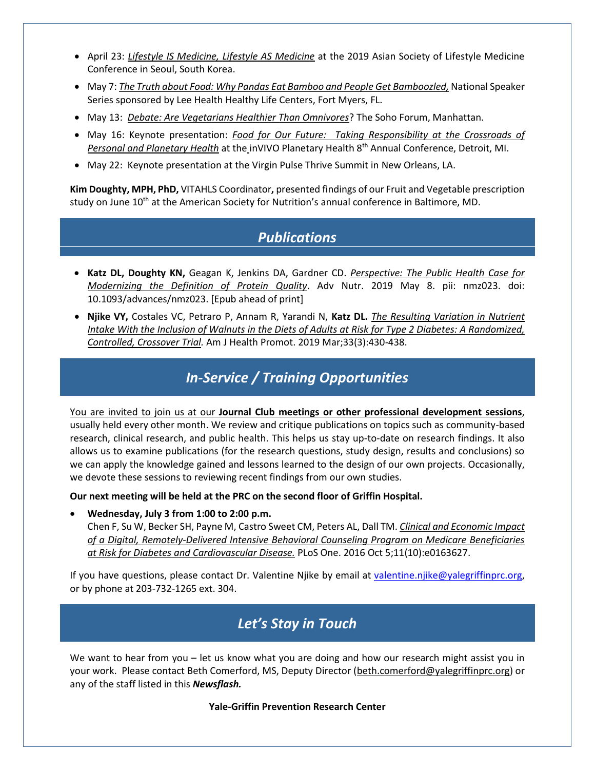- April 23: *Lifestyle IS Medicine, Lifestyle AS Medicine* at the 2019 Asian Society of Lifestyle Medicine Conference in Seoul, South Korea.
- May 7: *The Truth about Food: Why Pandas Eat Bamboo and People Get Bamboozled,* National Speaker Series sponsored by Lee Health Healthy Life Centers, Fort Myers, FL.
- May 13: *Debate: Are Vegetarians Healthier Than Omnivores*? The Soho Forum, Manhattan.
- May 16: Keynote presentation: *Food for Our Future: Taking Responsibility at the Crossroads of Personal and Planetary Health* at the inVIVO Planetary Health 8th Annual Conference, Detroit, MI.
- May 22: Keynote presentation at the Virgin Pulse Thrive Summit in New Orleans, LA.

**Kim Doughty, MPH, PhD,** VITAHLS Coordinator**,** presented findings of our Fruit and Vegetable prescription study on June 10<sup>th</sup> at the American Society for Nutrition's annual conference in Baltimore, MD.

### *Publications*

- **Katz DL, Doughty KN,** Geagan K, Jenkins DA, Gardner CD. *Perspective: The Public Health Case for Modernizing the Definition of Protein Quality*. Adv Nutr. 2019 May 8. pii: nmz023. doi: 10.1093/advances/nmz023. [Epub ahead of print]
- **Njike VY,** Costales VC, Petraro P, Annam R, Yarandi N, **Katz DL.** *The Resulting Variation in Nutrient Intake With the Inclusion of Walnuts in the Diets of Adults at Risk for Type 2 Diabetes: A Randomized, Controlled, Crossover Trial.* Am J Health Promot. 2019 Mar;33(3):430-438.

# *In-Service / Training Opportunities*

You are invited to join us at our **Journal Club meetings or other professional development sessions**, usually held every other month. We review and critique publications on topics such as community-based research, clinical research, and public health. This helps us stay up-to-date on research findings. It also allows us to examine publications (for the research questions, study design, results and conclusions) so we can apply the knowledge gained and lessons learned to the design of our own projects. Occasionally, we devote these sessions to reviewing recent findings from our own studies.

**Our next meeting will be held at the PRC on the second floor of Griffin Hospital.** 

**Wednesday, July 3 from 1:00 to 2:00 p.m.** 

Chen F, Su W, Becker SH, Payne M, Castro Sweet CM, Peters AL, Dall TM. *Clinical and Economic Impact of a Digital, Remotely-Delivered Intensive Behavioral Counseling Program on Medicare Beneficiaries at Risk for Diabetes and Cardiovascular Disease.* PLoS One. 2016 Oct 5;11(10):e0163627.

If you have questions, please contact Dr. Valentine Njike by email at [valentine.njike@yalegriffinprc.org,](mailto:valentine.njike@yalegriffinprc.org) or by phone at 203-732-1265 ext. 304.

# *Let's Stay in Touch*

We want to hear from you – let us know what you are doing and how our research might assist you in your work. Please contact Beth Comerford, MS, Deputy Director [\(beth.comerford@yalegriffinprc.org\)](mailto:beth.comerford@yalegriffinprc.org) or any of the staff listed in this *Newsflash.* 

**Yale-Griffin Prevention Research Center**